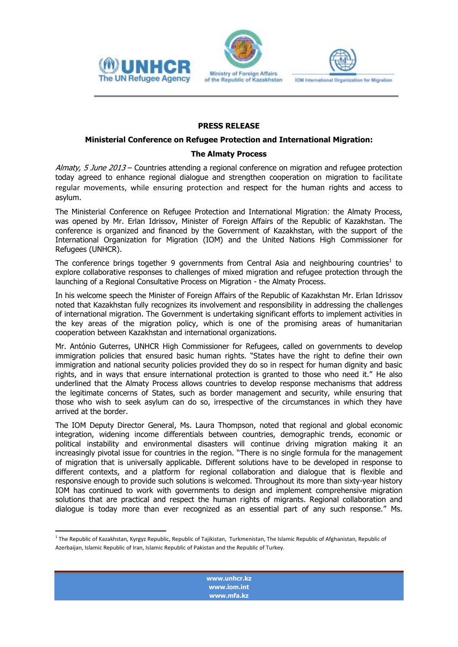





IOM International Organization for Migration

## **PRESS RELEASE**

## **Ministerial Conference on Refugee Protection and International Migration:**

## **The Almaty Process**

Almaty, 5 June 2013 – Countries attending a regional conference on migration and refugee protection today agreed to enhance regional dialogue and strengthen cooperation on migration to facilitate regular movements, while ensuring protection and respect for the human rights and access to asylum.

The Ministerial Conference on Refugee Protection and International Migration: the Almaty Process, was opened by Mr. Erlan Idrissov, Minister of Foreign Affairs of the Republic of Kazakhstan. The conference is organized and financed by the Government of Kazakhstan, with the support of the International Organization for Migration (IOM) and the United Nations High Commissioner for Refugees (UNHCR).

The conference brings together 9 governments from Central Asia and neighbouring countries<sup>1</sup> to explore collaborative responses to challenges of mixed migration and refugee protection through the launching of a Regional Consultative Process on Migration - the Almaty Process.

In his welcome speech the Minister of Foreign Affairs of the Republic of Kazakhstan Mr. Erlan Idrissov noted that Kazakhstan fully recognizes its involvement and responsibility in addressing the challenges of international migration. The Government is undertaking significant efforts to implement activities in the key areas of the migration policy, which is one of the promising areas of humanitarian cooperation between Kazakhstan and international organizations.

Mr. António Guterres, UNHCR High Commissioner for Refugees, called on governments to develop immigration policies that ensured basic human rights. "States have the right to define their own immigration and national security policies provided they do so in respect for human dignity and basic rights, and in ways that ensure international protection is granted to those who need it." He also underlined that the Almaty Process allows countries to develop response mechanisms that address the legitimate concerns of States, such as border management and security, while ensuring that those who wish to seek asylum can do so, irrespective of the circumstances in which they have arrived at the border.

The IOM Deputy Director General, Ms. Laura Thompson, noted that regional and global economic integration, widening income differentials between countries, demographic trends, economic or political instability and environmental disasters will continue driving migration making it an increasingly pivotal issue for countries in the region. "There is no single formula for the management of migration that is universally applicable. Different solutions have to be developed in response to different contexts, and a platform for regional collaboration and dialogue that is flexible and responsive enough to provide such solutions is welcomed. Throughout its more than sixty-year history IOM has continued to work with governments to design and implement comprehensive migration solutions that are practical and respect the human rights of migrants. Regional collaboration and dialogue is today more than ever recognized as an essential part of any such response." Ms.

**[www.unhcr.kz](http://www.unhcr.kz/) www.iom.int www.mfa.kz**

 1 The Republic of Kazakhstan, Kyrgyz Republic, Republic of Tajikistan, Turkmenistan, The Islamic Republic of Afghanistan, Republic of Azerbaijan, Islamic Republic of Iran, Islamic Republic of Pakistan and the Republic of Turkey.